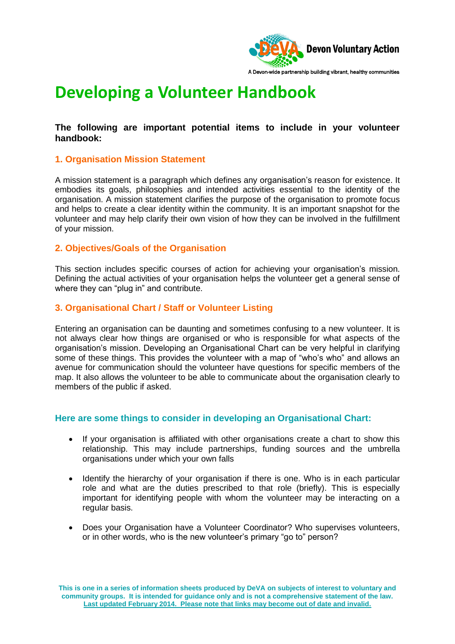

# **Developing a Volunteer Handbook**

## **The following are important potential items to include in your volunteer handbook:**

## **1. Organisation Mission Statement**

A mission statement is a paragraph which defines any organisation's reason for existence. It embodies its goals, philosophies and intended activities essential to the identity of the organisation. A mission statement clarifies the purpose of the organisation to promote focus and helps to create a clear identity within the community. It is an important snapshot for the volunteer and may help clarify their own vision of how they can be involved in the fulfillment of your mission.

## **2. Objectives/Goals of the Organisation**

This section includes specific courses of action for achieving your organisation's mission. Defining the actual activities of your organisation helps the volunteer get a general sense of where they can "plug in" and contribute.

## **3. Organisational Chart / Staff or Volunteer Listing**

Entering an organisation can be daunting and sometimes confusing to a new volunteer. It is not always clear how things are organised or who is responsible for what aspects of the organisation's mission. Developing an Organisational Chart can be very helpful in clarifying some of these things. This provides the volunteer with a map of "who's who" and allows an avenue for communication should the volunteer have questions for specific members of the map. It also allows the volunteer to be able to communicate about the organisation clearly to members of the public if asked.

#### **Here are some things to consider in developing an Organisational Chart:**

- If your organisation is affiliated with other organisations create a chart to show this relationship. This may include partnerships, funding sources and the umbrella organisations under which your own falls
- Identify the hierarchy of your organisation if there is one. Who is in each particular role and what are the duties prescribed to that role (briefly). This is especially important for identifying people with whom the volunteer may be interacting on a regular basis.
- Does your Organisation have a Volunteer Coordinator? Who supervises volunteers, or in other words, who is the new volunteer's primary "go to" person?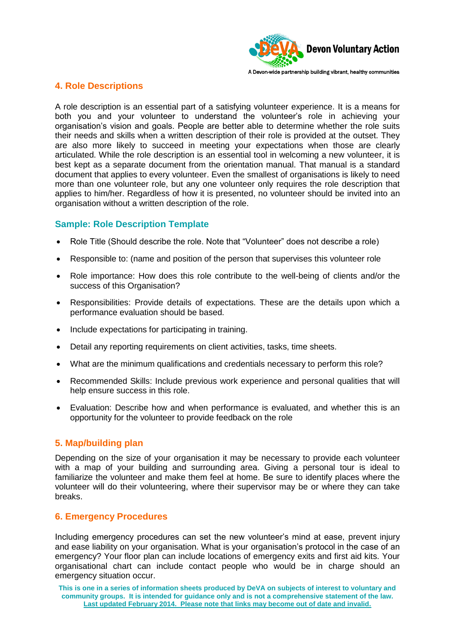

A Devon-wide partnership building vibrant, healthy communities

## **4. Role Descriptions**

A role description is an essential part of a satisfying volunteer experience. It is a means for both you and your volunteer to understand the volunteer's role in achieving your organisation's vision and goals. People are better able to determine whether the role suits their needs and skills when a written description of their role is provided at the outset. They are also more likely to succeed in meeting your expectations when those are clearly articulated. While the role description is an essential tool in welcoming a new volunteer, it is best kept as a separate document from the orientation manual. That manual is a standard document that applies to every volunteer. Even the smallest of organisations is likely to need more than one volunteer role, but any one volunteer only requires the role description that applies to him/her. Regardless of how it is presented, no volunteer should be invited into an organisation without a written description of the role.

## **Sample: Role Description Template**

- Role Title (Should describe the role. Note that "Volunteer" does not describe a role)
- Responsible to: (name and position of the person that supervises this volunteer role
- Role importance: How does this role contribute to the well-being of clients and/or the success of this Organisation?
- Responsibilities: Provide details of expectations. These are the details upon which a performance evaluation should be based.
- Include expectations for participating in training.
- Detail any reporting requirements on client activities, tasks, time sheets.
- What are the minimum qualifications and credentials necessary to perform this role?
- Recommended Skills: Include previous work experience and personal qualities that will help ensure success in this role.
- Evaluation: Describe how and when performance is evaluated, and whether this is an opportunity for the volunteer to provide feedback on the role

## **5. Map/building plan**

Depending on the size of your organisation it may be necessary to provide each volunteer with a map of your building and surrounding area. Giving a personal tour is ideal to familiarize the volunteer and make them feel at home. Be sure to identify places where the volunteer will do their volunteering, where their supervisor may be or where they can take breaks.

## **6. Emergency Procedures**

Including emergency procedures can set the new volunteer's mind at ease, prevent injury and ease liability on your organisation. What is your organisation's protocol in the case of an emergency? Your floor plan can include locations of emergency exits and first aid kits. Your organisational chart can include contact people who would be in charge should an emergency situation occur.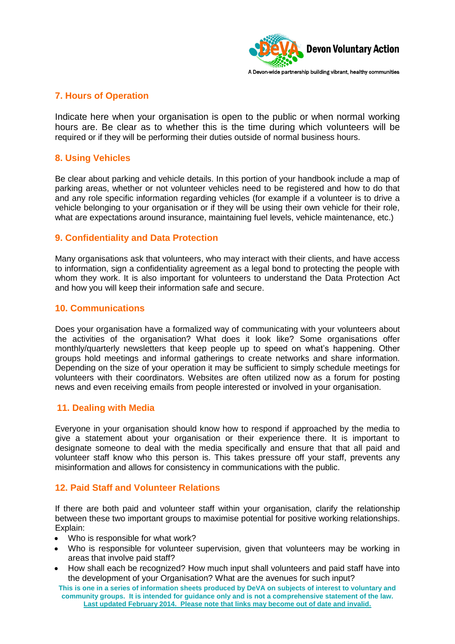

## **7. Hours of Operation**

Indicate here when your organisation is open to the public or when normal working hours are. Be clear as to whether this is the time during which volunteers will be required or if they will be performing their duties outside of normal business hours.

## **8. Using Vehicles**

Be clear about parking and vehicle details. In this portion of your handbook include a map of parking areas, whether or not volunteer vehicles need to be registered and how to do that and any role specific information regarding vehicles (for example if a volunteer is to drive a vehicle belonging to your organisation or if they will be using their own vehicle for their role, what are expectations around insurance, maintaining fuel levels, vehicle maintenance, etc.)

## **9. Confidentiality and Data Protection**

Many organisations ask that volunteers, who may interact with their clients, and have access to information, sign a confidentiality agreement as a legal bond to protecting the people with whom they work. It is also important for volunteers to understand the Data Protection Act and how you will keep their information safe and secure.

#### **10. Communications**

Does your organisation have a formalized way of communicating with your volunteers about the activities of the organisation? What does it look like? Some organisations offer monthly/quarterly newsletters that keep people up to speed on what's happening. Other groups hold meetings and informal gatherings to create networks and share information. Depending on the size of your operation it may be sufficient to simply schedule meetings for volunteers with their coordinators. Websites are often utilized now as a forum for posting news and even receiving emails from people interested or involved in your organisation.

#### **11. Dealing with Media**

Everyone in your organisation should know how to respond if approached by the media to give a statement about your organisation or their experience there. It is important to designate someone to deal with the media specifically and ensure that that all paid and volunteer staff know who this person is. This takes pressure off your staff, prevents any misinformation and allows for consistency in communications with the public.

#### **12. Paid Staff and Volunteer Relations**

If there are both paid and volunteer staff within your organisation, clarify the relationship between these two important groups to maximise potential for positive working relationships. Explain:

- Who is responsible for what work?
- Who is responsible for volunteer supervision, given that volunteers may be working in areas that involve paid staff?
- How shall each be recognized? How much input shall volunteers and paid staff have into the development of your Organisation? What are the avenues for such input?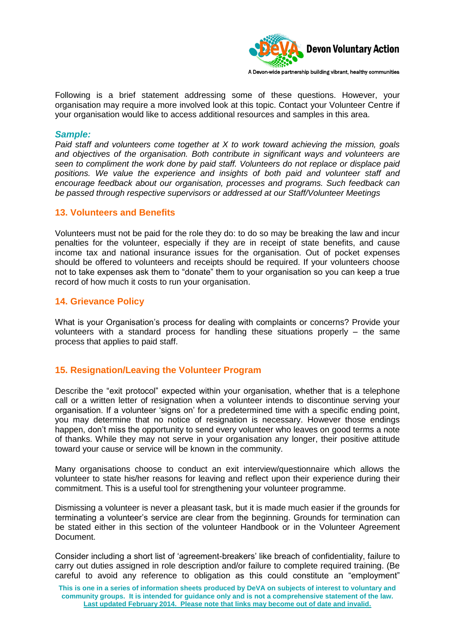

Following is a brief statement addressing some of these questions. However, your organisation may require a more involved look at this topic. Contact your Volunteer Centre if your organisation would like to access additional resources and samples in this area.

#### *Sample:*

*Paid staff and volunteers come together at X to work toward achieving the mission, goals and objectives of the organisation. Both contribute in significant ways and volunteers are seen to compliment the work done by paid staff. Volunteers do not replace or displace paid positions. We value the experience and insights of both paid and volunteer staff and encourage feedback about our organisation, processes and programs. Such feedback can be passed through respective supervisors or addressed at our Staff/Volunteer Meetings*

#### **13. Volunteers and Benefits**

Volunteers must not be paid for the role they do: to do so may be breaking the law and incur penalties for the volunteer, especially if they are in receipt of state benefits, and cause income tax and national insurance issues for the organisation. Out of pocket expenses should be offered to volunteers and receipts should be required. If your volunteers choose not to take expenses ask them to "donate" them to your organisation so you can keep a true record of how much it costs to run your organisation.

#### **14. Grievance Policy**

What is your Organisation's process for dealing with complaints or concerns? Provide your volunteers with a standard process for handling these situations properly – the same process that applies to paid staff.

#### **15. Resignation/Leaving the Volunteer Program**

Describe the "exit protocol" expected within your organisation, whether that is a telephone call or a written letter of resignation when a volunteer intends to discontinue serving your organisation. If a volunteer 'signs on' for a predetermined time with a specific ending point, you may determine that no notice of resignation is necessary. However those endings happen, don't miss the opportunity to send every volunteer who leaves on good terms a note of thanks. While they may not serve in your organisation any longer, their positive attitude toward your cause or service will be known in the community.

Many organisations choose to conduct an exit interview/questionnaire which allows the volunteer to state his/her reasons for leaving and reflect upon their experience during their commitment. This is a useful tool for strengthening your volunteer programme.

Dismissing a volunteer is never a pleasant task, but it is made much easier if the grounds for terminating a volunteer's service are clear from the beginning. Grounds for termination can be stated either in this section of the volunteer Handbook or in the Volunteer Agreement Document.

Consider including a short list of 'agreement-breakers' like breach of confidentiality, failure to carry out duties assigned in role description and/or failure to complete required training. (Be careful to avoid any reference to obligation as this could constitute an "employment"